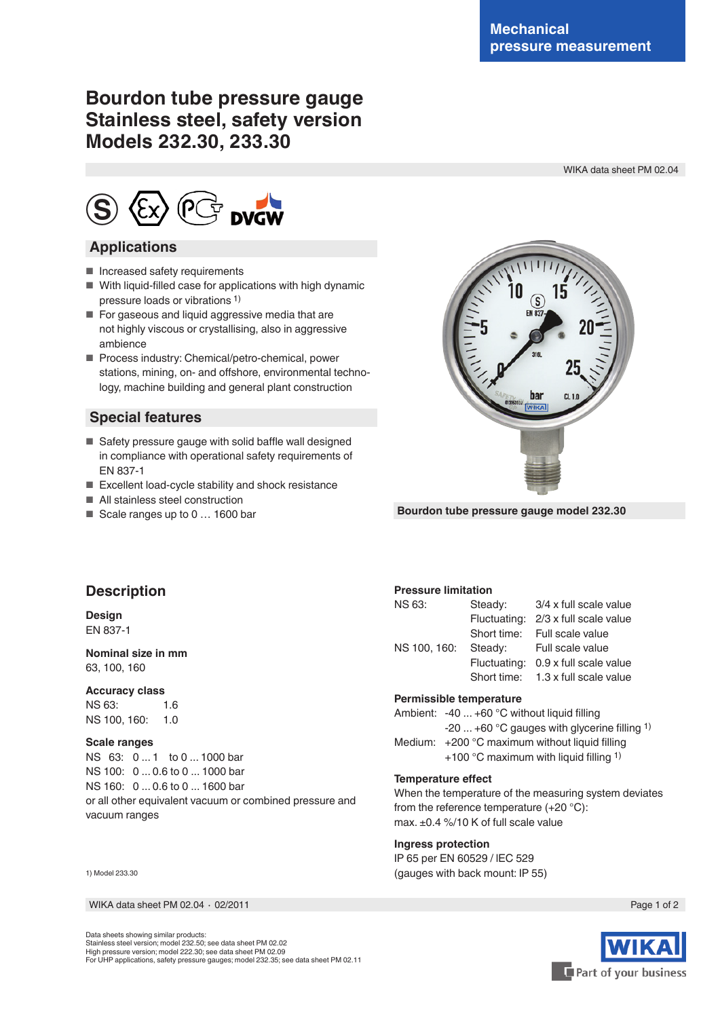# **Bourdon tube pressure gauge Stainless steel, safety version Models 232.30, 233.30**

WIKA data sheet PM 02.04



### **Applications**

- Increased safety requirements
- With liquid-filled case for applications with high dynamic pressure loads or vibrations 1)
- For gaseous and liquid aggressive media that are not highly viscous or crystallising, also in aggressive ambience
- Process industry: Chemical/petro-chemical, power stations, mining, on- and offshore, environmental technology, machine building and general plant construction

### **Special features**

- $\blacksquare$  Safety pressure gauge with solid baffle wall designed in compliance with operational safety requirements of EN 837-1
- Excellent load-cycle stability and shock resistance
- All stainless steel construction
- Scale ranges up to 0 ... 1600 bar



**Bourdon tube pressure gauge model 232.30**

## **Description**

#### **Design** EN 837-1

#### **Nominal size in mm** 63, 100, 160

#### **Accuracy class**

NS 63: 1.6 NS 100, 160: 1.0

#### **Scale ranges**

NS 63: 0 ... 1 to 0 ... 1000 bar NS 100: 0 ... 0.6 to 0 ... 1000 bar NS 160: 0 ... 0.6 to 0 ... 1600 bar or all other equivalent vacuum or combined pressure and vacuum ranges

| 1) Model 233.30 |  |
|-----------------|--|
|-----------------|--|

WIKA data sheet PM 02.04 ⋅ 02/2011 Page 1 of 2

#### **Pressure limitation**

| Steady:      | 3/4 x full scale value              |  |  |  |
|--------------|-------------------------------------|--|--|--|
|              | Fluctuating: 2/3 x full scale value |  |  |  |
|              | Short time: Full scale value        |  |  |  |
|              | Steady: Full scale value            |  |  |  |
| Fluctuating: | 0.9 x full scale value              |  |  |  |
|              | Short time: 1.3 x full scale value  |  |  |  |
|              |                                     |  |  |  |

#### **Permissible temperature**

Ambient: -40 ... +60 °C without liquid filling -20 ... +60 °C gauges with glycerine flling 1) Medium: +200 °C maximum without liquid filling +100 °C maximum with liquid filling  $1$ )

#### **Temperature efect**

When the temperature of the measuring system deviates from the reference temperature (+20 °C): max. ±0.4 %/10 K of full scale value

#### **Ingress protection**

IP 65 per EN 60529 / lEC 529 (gauges with back mount: IP 55)